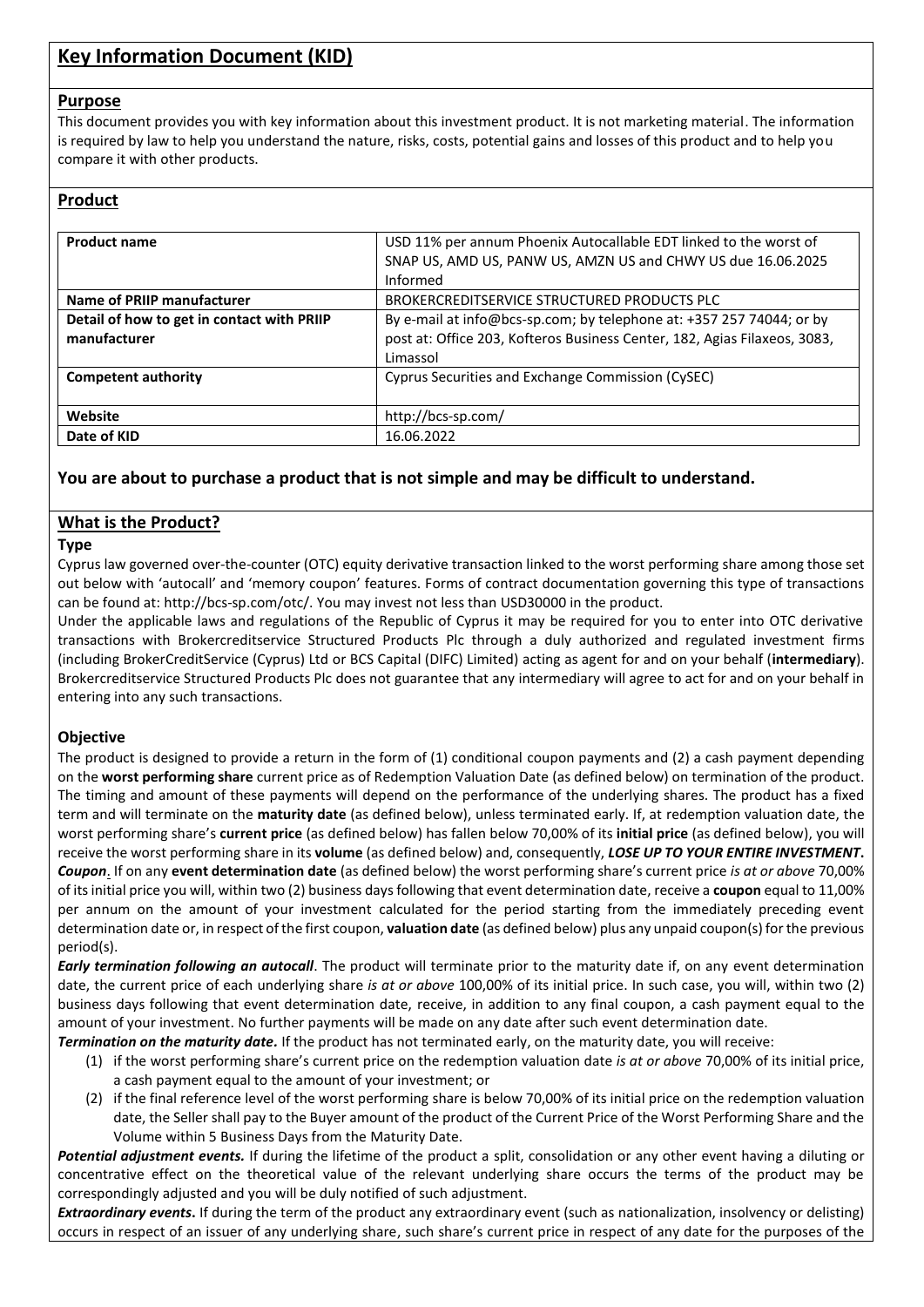# **Key Information Document (KID)**

#### **Purpose**

This document provides you with key information about this investment product. It is not marketing material. The information is required by law to help you understand the nature, risks, costs, potential gains and losses of this product and to help you compare it with other products.

### **Product**

| <b>Product name</b>                                        | USD 11% per annum Phoenix Autocallable EDT linked to the worst of<br>SNAP US, AMD US, PANW US, AMZN US and CHWY US due 16.06.2025<br>Informed                 |
|------------------------------------------------------------|---------------------------------------------------------------------------------------------------------------------------------------------------------------|
| Name of PRIIP manufacturer                                 | BROKERCREDITSERVICE STRUCTURED PRODUCTS PLC                                                                                                                   |
| Detail of how to get in contact with PRIIP<br>manufacturer | By e-mail at info@bcs-sp.com; by telephone at: +357 257 74044; or by<br>post at: Office 203, Kofteros Business Center, 182, Agias Filaxeos, 3083,<br>Limassol |
| <b>Competent authority</b>                                 | Cyprus Securities and Exchange Commission (CySEC)                                                                                                             |
| Website                                                    | http://bcs-sp.com/                                                                                                                                            |
| Date of KID                                                | 16.06.2022                                                                                                                                                    |

### **You are about to purchase a product that is not simple and may be difficult to understand.**

## **What is the Product?**

#### **Type**

Cyprus law governed over-the-counter (OTC) equity derivative transaction linked to the worst performing share among those set out below with 'autocall' and 'memory coupon' features. Forms of contract documentation governing this type of transactions can be found at: http://bcs-sp.com/otc/. You may invest not less than USD30000 in the product.

Under the applicable laws and regulations of the Republic of Cyprus it may be required for you to enter into OTC derivative transactions with Brokercreditservice Structured Products Plc through a duly authorized and regulated investment firms (including BrokerCreditService (Cyprus) Ltd or BCS Capital (DIFC) Limited) acting as agent for and on your behalf (**intermediary**). Brokercreditservice Structured Products Plc does not guarantee that any intermediary will agree to act for and on your behalf in entering into any such transactions.

### **Objective**

The product is designed to provide a return in the form of (1) conditional coupon payments and (2) a cash payment depending on the **worst performing share** current price as of Redemption Valuation Date (as defined below) on termination of the product. The timing and amount of these payments will depend on the performance of the underlying shares. The product has a fixed term and will terminate on the **maturity date** (as defined below), unless terminated early. If, at redemption valuation date, the worst performing share's **current price** (as defined below) has fallen below 70,00% of its **initial price** (as defined below), you will receive the worst performing share in its **volume** (as defined below) and, consequently, *LOSE UP TO YOUR ENTIRE INVESTMENT***.** *Coupon*. If on any **event determination date** (as defined below) the worst performing share's current price *is at or above* 70,00% of its initial price you will, within two (2) business days following that event determination date, receive a **coupon** equal to 11,00% per annum on the amount of your investment calculated for the period starting from the immediately preceding event determination date or, in respect of the first coupon, **valuation date** (as defined below) plus any unpaid coupon(s) for the previous period(s).

*Early termination following an autocall*. The product will terminate prior to the maturity date if, on any event determination date, the current price of each underlying share *is at or above* 100,00% of its initial price. In such case, you will, within two (2) business days following that event determination date, receive, in addition to any final coupon, a cash payment equal to the amount of your investment. No further payments will be made on any date after such event determination date.

*Termination on the maturity date.* If the product has not terminated early, on the maturity date, you will receive:

- (1) if the worst performing share's current price on the redemption valuation date *is at or above* 70,00% of its initial price, a cash payment equal to the amount of your investment; or
- (2) if the final reference level of the worst performing share is below 70,00% of its initial price on the redemption valuation date, the Seller shall pay to the Buyer amount of the product of the Current Price of the Worst Performing Share and the Volume within 5 Business Days from the Maturity Date.

*Potential adjustment events.* If during the lifetime of the product a split, consolidation or any other event having a diluting or concentrative effect on the theoretical value of the relevant underlying share occurs the terms of the product may be correspondingly adjusted and you will be duly notified of such adjustment.

*Extraordinary events***.** If during the term of the product any extraordinary event (such as nationalization, insolvency or delisting) occurs in respect of an issuer of any underlying share, such share's current price in respect of any date for the purposes of the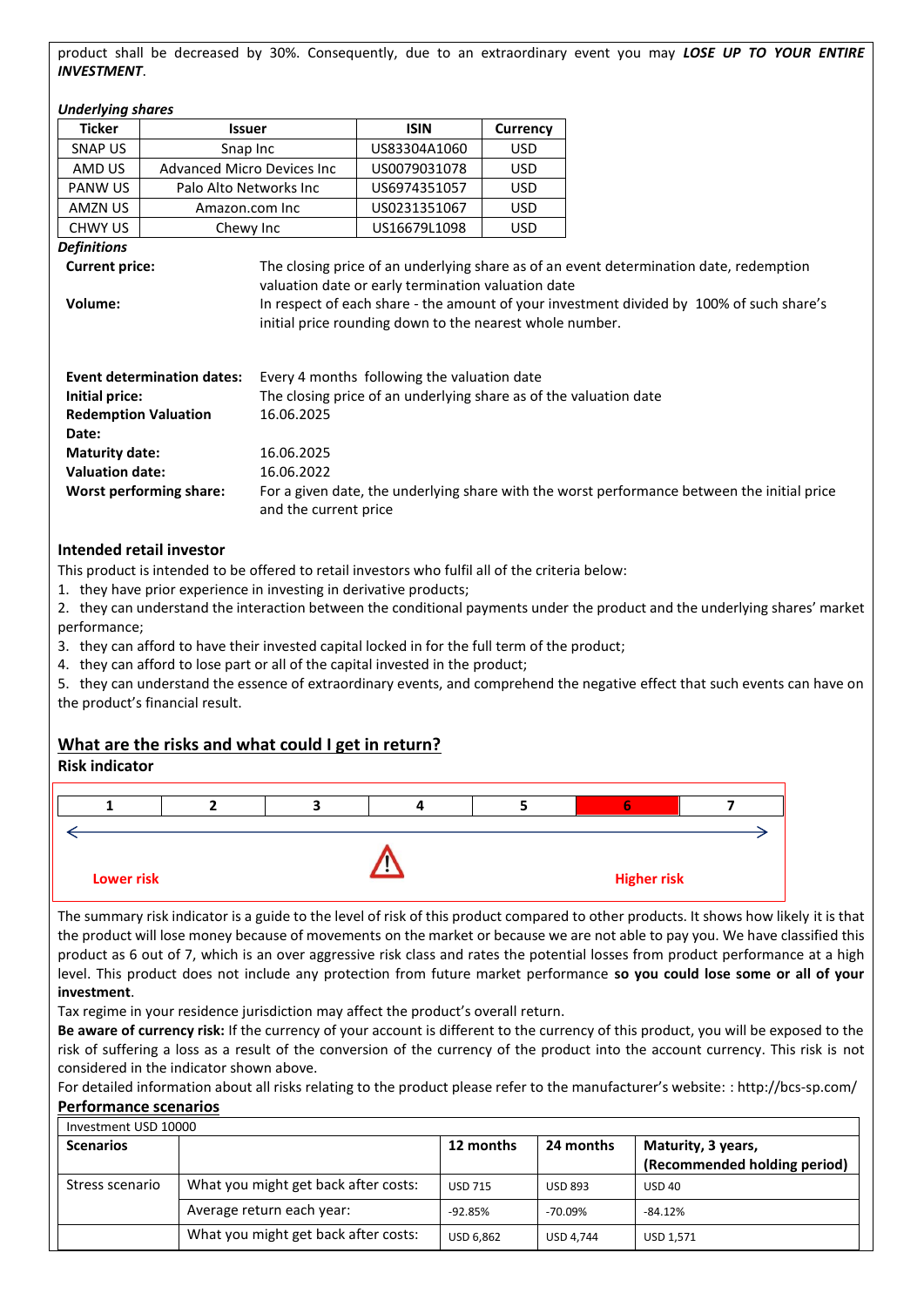product shall be decreased by 30%. Consequently, due to an extraordinary event you may *LOSE UP TO YOUR ENTIRE INVESTMENT*.

#### *Underlying shares*

| Unaeriying snares                            |                                   |                                                                   |                                                                                                                |                                                                                             |                                                                                          |
|----------------------------------------------|-----------------------------------|-------------------------------------------------------------------|----------------------------------------------------------------------------------------------------------------|---------------------------------------------------------------------------------------------|------------------------------------------------------------------------------------------|
| <b>Ticker</b>                                | <b>Issuer</b>                     |                                                                   | <b>ISIN</b>                                                                                                    | <b>Currency</b>                                                                             |                                                                                          |
| SNAP US                                      | Snap Inc                          |                                                                   | US83304A1060                                                                                                   | <b>USD</b>                                                                                  |                                                                                          |
| <b>Advanced Micro Devices Inc.</b><br>AMD US |                                   | US0079031078                                                      | <b>USD</b>                                                                                                     |                                                                                             |                                                                                          |
| PANW US                                      | Palo Alto Networks Inc            |                                                                   | US6974351057                                                                                                   | <b>USD</b>                                                                                  |                                                                                          |
| AMZN US                                      | Amazon.com Inc                    |                                                                   | US0231351067                                                                                                   | <b>USD</b>                                                                                  |                                                                                          |
| <b>CHWY US</b>                               | Chewy Inc                         |                                                                   | US16679L1098                                                                                                   | USD.                                                                                        |                                                                                          |
| Definitions                                  |                                   |                                                                   |                                                                                                                |                                                                                             |                                                                                          |
| <b>Current price:</b>                        |                                   |                                                                   |                                                                                                                |                                                                                             | The closing price of an underlying share as of an event determination date, redemption   |
| Volume:                                      |                                   |                                                                   | valuation date or early termination valuation date<br>initial price rounding down to the nearest whole number. |                                                                                             | In respect of each share - the amount of your investment divided by 100% of such share's |
|                                              | <b>Event determination dates:</b> |                                                                   | Every 4 months following the valuation date                                                                    |                                                                                             |                                                                                          |
| Initial price:                               |                                   | The closing price of an underlying share as of the valuation date |                                                                                                                |                                                                                             |                                                                                          |
| 16.06.2025<br><b>Redemption Valuation</b>    |                                   |                                                                   |                                                                                                                |                                                                                             |                                                                                          |
| Date:                                        |                                   |                                                                   |                                                                                                                |                                                                                             |                                                                                          |
| <b>Maturity date:</b>                        |                                   | 16.06.2025                                                        |                                                                                                                |                                                                                             |                                                                                          |
| <b>Valuation date:</b>                       |                                   | 16.06.2022                                                        |                                                                                                                |                                                                                             |                                                                                          |
| <b>Worst performing share:</b>               |                                   |                                                                   |                                                                                                                | For a given date, the underlying share with the worst performance between the initial price |                                                                                          |

#### **Intended retail investor**

This product is intended to be offered to retail investors who fulfil all of the criteria below:

and the current price

1. they have prior experience in investing in derivative products;

2. they can understand the interaction between the conditional payments under the product and the underlying shares' market performance;

3. they can afford to have their invested capital locked in for the full term of the product;

4. they can afford to lose part or all of the capital invested in the product;

5. they can understand the essence of extraordinary events, and comprehend the negative effect that such events can have on the product's financial result.

## **What are the risks and what could I get in return?**

#### **Risk indicator**



The summary risk indicator is a guide to the level of risk of this product compared to other products. It shows how likely it is that the product will lose money because of movements on the market or because we are not able to pay you. We have classified this product as 6 out of 7, which is an over aggressive risk class and rates the potential losses from product performance at a high level. This product does not include any protection from future market performance **so you could lose some or all of your investment**.

Tax regime in your residence jurisdiction may affect the product's overall return.

**Be aware of currency risk:** If the currency of your account is different to the currency of this product, you will be exposed to the risk of suffering a loss as a result of the conversion of the currency of the product into the account currency. This risk is not considered in the indicator shown above.

For detailed information about all risks relating to the product please refer to the manufacturer's website: : http://bcs-sp.com/ **Performance scenarios**

| Investment USD 10000 |                                      |           |                  |                                                    |  |
|----------------------|--------------------------------------|-----------|------------------|----------------------------------------------------|--|
| <b>Scenarios</b>     |                                      | 12 months | 24 months        | Maturity, 3 years,<br>(Recommended holding period) |  |
| Stress scenario      | What you might get back after costs: | USD 715   | <b>USD 893</b>   | <b>USD 40</b>                                      |  |
|                      | Average return each year:            | $-92.85%$ | -70.09%          | $-84.12%$                                          |  |
|                      | What you might get back after costs: | USD 6.862 | <b>USD 4.744</b> | USD 1.571                                          |  |